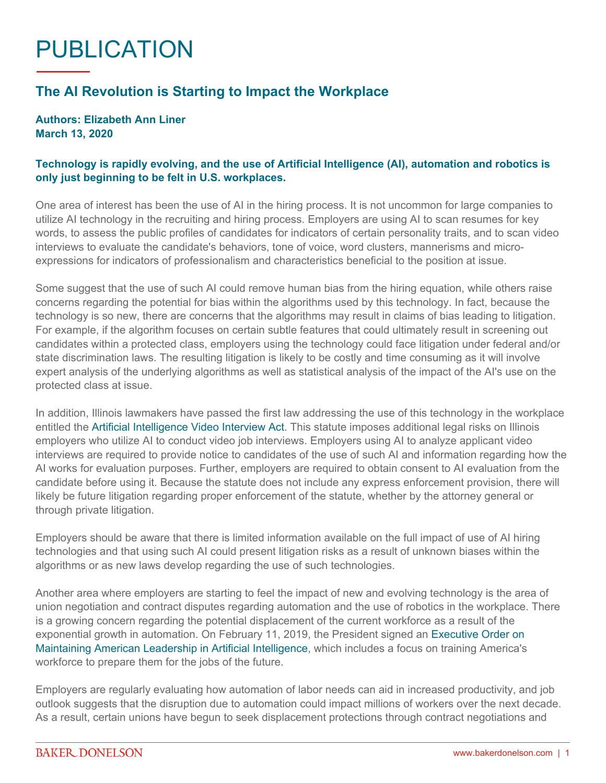## PUBLICATION

## **The AI Revolution is Starting to Impact the Workplace**

## **Authors: Elizabeth Ann Liner March 13, 2020**

## **Technology is rapidly evolving, and the use of Artificial Intelligence (AI), automation and robotics is only just beginning to be felt in U.S. workplaces.**

One area of interest has been the use of AI in the hiring process. It is not uncommon for large companies to utilize AI technology in the recruiting and hiring process. Employers are using AI to scan resumes for key words, to assess the public profiles of candidates for indicators of certain personality traits, and to scan video interviews to evaluate the candidate's behaviors, tone of voice, word clusters, mannerisms and microexpressions for indicators of professionalism and characteristics beneficial to the position at issue.

Some suggest that the use of such AI could remove human bias from the hiring equation, while others raise concerns regarding the potential for bias within the algorithms used by this technology. In fact, because the technology is so new, there are concerns that the algorithms may result in claims of bias leading to litigation. For example, if the algorithm focuses on certain subtle features that could ultimately result in screening out candidates within a protected class, employers using the technology could face litigation under federal and/or state discrimination laws. The resulting litigation is likely to be costly and time consuming as it will involve expert analysis of the underlying algorithms as well as statistical analysis of the impact of the AI's use on the protected class at issue.

In addition, Illinois lawmakers have passed the first law addressing the use of this technology in the workplace entitled the [Artificial Intelligence Video Interview Act](http://www.ilga.gov/legislation/publicacts/fulltext.asp?Name=101-0260). This statute imposes additional legal risks on Illinois employers who utilize AI to conduct video job interviews. Employers using AI to analyze applicant video interviews are required to provide notice to candidates of the use of such AI and information regarding how the AI works for evaluation purposes. Further, employers are required to obtain consent to AI evaluation from the candidate before using it. Because the statute does not include any express enforcement provision, there will likely be future litigation regarding proper enforcement of the statute, whether by the attorney general or through private litigation.

Employers should be aware that there is limited information available on the full impact of use of AI hiring technologies and that using such AI could present litigation risks as a result of unknown biases within the algorithms or as new laws develop regarding the use of such technologies.

Another area where employers are starting to feel the impact of new and evolving technology is the area of union negotiation and contract disputes regarding automation and the use of robotics in the workplace. There is a growing concern regarding the potential displacement of the current workforce as a result of the exponential growth in automation. On February 11, 2019, the President signed an [Executive Order on](https://trumpwhitehouse.archives.gov/presidential-actions/executive-order-maintaining-american-leadership-artificial-intelligence/)  [Maintaining American Leadership in Artificial Intelligence](https://trumpwhitehouse.archives.gov/presidential-actions/executive-order-maintaining-american-leadership-artificial-intelligence/), which includes a focus on training America's workforce to prepare them for the jobs of the future.

Employers are regularly evaluating how automation of labor needs can aid in increased productivity, and job outlook suggests that the disruption due to automation could impact millions of workers over the next decade. As a result, certain unions have begun to seek displacement protections through contract negotiations and